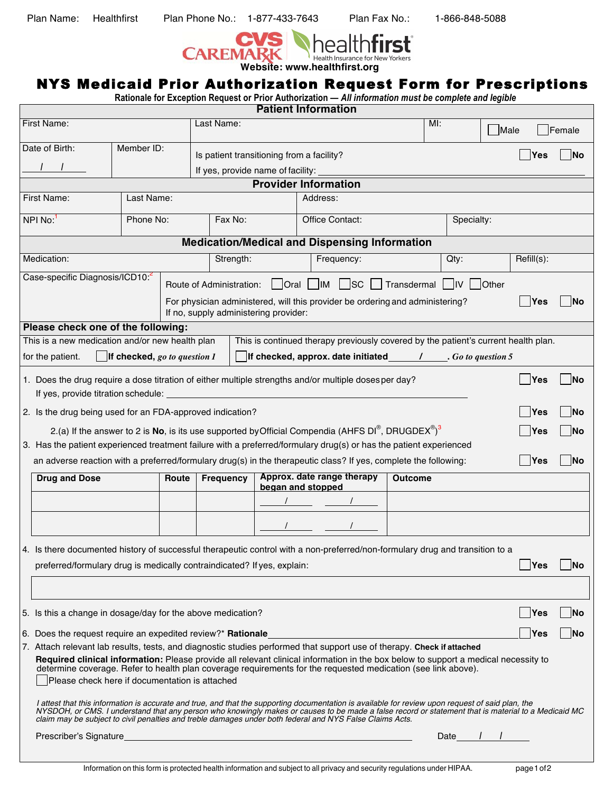Plan Name: Healthfirst Plan Phone No.: 1-877-433-7643 Plan Fax No.: 1-866-848-5088



## NYS Medicaid Prior Authorization Request Form for Prescriptions

**Rationale for Exception Request or Prior Authorization —** *All information must be complete and legible*

| <b>Patient Information</b>                                                                                                                                                                                                                  |                                                                                                                                                                                                                                                                                                                                                                                                                      |           |                  |            |                         |                                                 |                 |                |                                                                                    |         |            |            |        |  |
|---------------------------------------------------------------------------------------------------------------------------------------------------------------------------------------------------------------------------------------------|----------------------------------------------------------------------------------------------------------------------------------------------------------------------------------------------------------------------------------------------------------------------------------------------------------------------------------------------------------------------------------------------------------------------|-----------|------------------|------------|-------------------------|-------------------------------------------------|-----------------|----------------|------------------------------------------------------------------------------------|---------|------------|------------|--------|--|
| <b>First Name:</b>                                                                                                                                                                                                                          |                                                                                                                                                                                                                                                                                                                                                                                                                      |           |                  | Last Name: |                         |                                                 |                 |                | MI:                                                                                |         | Male       |            | Female |  |
|                                                                                                                                                                                                                                             | Member ID:<br>Date of Birth:                                                                                                                                                                                                                                                                                                                                                                                         |           |                  |            |                         | Is patient transitioning from a facility?       |                 |                |                                                                                    |         |            | Yes        | lNo    |  |
|                                                                                                                                                                                                                                             |                                                                                                                                                                                                                                                                                                                                                                                                                      |           |                  |            |                         | If yes, provide name of facility:               |                 |                |                                                                                    |         |            |            |        |  |
| <b>Provider Information</b>                                                                                                                                                                                                                 |                                                                                                                                                                                                                                                                                                                                                                                                                      |           |                  |            |                         |                                                 |                 |                |                                                                                    |         |            |            |        |  |
| First Name:<br>Last Name:                                                                                                                                                                                                                   |                                                                                                                                                                                                                                                                                                                                                                                                                      |           |                  |            |                         | Address:                                        |                 |                |                                                                                    |         |            |            |        |  |
| NPI No: <sup>1</sup>                                                                                                                                                                                                                        |                                                                                                                                                                                                                                                                                                                                                                                                                      | Phone No: |                  |            | Fax No:                 |                                                 | Office Contact: |                |                                                                                    |         | Specialty: |            |        |  |
|                                                                                                                                                                                                                                             | <b>Medication/Medical and Dispensing Information</b>                                                                                                                                                                                                                                                                                                                                                                 |           |                  |            |                         |                                                 |                 |                |                                                                                    |         |            |            |        |  |
|                                                                                                                                                                                                                                             | Medication:                                                                                                                                                                                                                                                                                                                                                                                                          |           |                  |            | Strength:<br>Frequency: |                                                 |                 |                |                                                                                    | $Qty$ : |            | Refill(s): |        |  |
| Case-specific Diagnosis/ICD10:2<br>  Oral   IM   SC   Transdermal   IV   Other<br>Route of Administration:<br>For physician administered, will this provider be ordering and administering?<br>Yes<br>If no, supply administering provider: |                                                                                                                                                                                                                                                                                                                                                                                                                      |           |                  |            |                         |                                                 |                 |                |                                                                                    |         |            |            |        |  |
|                                                                                                                                                                                                                                             | Please check one of the following:                                                                                                                                                                                                                                                                                                                                                                                   |           |                  |            |                         |                                                 |                 |                |                                                                                    |         |            |            |        |  |
|                                                                                                                                                                                                                                             | This is a new medication and/or new health plan                                                                                                                                                                                                                                                                                                                                                                      |           |                  |            |                         |                                                 |                 |                | This is continued therapy previously covered by the patient's current health plan. |         |            |            |        |  |
| for the patient.<br><b>If checked, go to question 1</b><br>If checked, approx. date initiated $\overline{f}$ . Go to question 5                                                                                                             |                                                                                                                                                                                                                                                                                                                                                                                                                      |           |                  |            |                         |                                                 |                 |                |                                                                                    |         |            |            |        |  |
|                                                                                                                                                                                                                                             | 1. Does the drug require a dose titration of either multiple strengths and/or multiple dosesper day?<br>If yes, provide titration schedule:                                                                                                                                                                                                                                                                          |           |                  |            |                         |                                                 |                 |                |                                                                                    |         |            | Yes        | INo    |  |
|                                                                                                                                                                                                                                             | 2. Is the drug being used for an FDA-approved indication?                                                                                                                                                                                                                                                                                                                                                            |           |                  |            |                         |                                                 |                 |                |                                                                                    |         |            | Yes        |        |  |
|                                                                                                                                                                                                                                             | 2.(a) If the answer to 2 is No, is its use supported by Official Compendia (AHFS DI <sup>®</sup> , DRUGDEX <sup>®</sup> ) <sup>3</sup>                                                                                                                                                                                                                                                                               |           |                  |            |                         |                                                 |                 |                |                                                                                    |         |            | Yes        |        |  |
|                                                                                                                                                                                                                                             | 3. Has the patient experienced treatment failure with a preferred/formulary drug(s) or has the patient experienced                                                                                                                                                                                                                                                                                                   |           |                  |            |                         |                                                 |                 |                |                                                                                    |         |            |            |        |  |
|                                                                                                                                                                                                                                             | an adverse reaction with a preferred/formulary drug(s) in the therapeutic class? If yes, complete the following:<br> Yes<br>INo                                                                                                                                                                                                                                                                                      |           |                  |            |                         |                                                 |                 |                |                                                                                    |         |            |            |        |  |
|                                                                                                                                                                                                                                             | <b>Drug and Dose</b>                                                                                                                                                                                                                                                                                                                                                                                                 | Route     | <b>Frequency</b> |            |                         | Approx. date range therapy<br>began and stopped |                 | <b>Outcome</b> |                                                                                    |         |            |            |        |  |
|                                                                                                                                                                                                                                             |                                                                                                                                                                                                                                                                                                                                                                                                                      |           |                  |            |                         |                                                 |                 |                |                                                                                    |         |            |            |        |  |
|                                                                                                                                                                                                                                             |                                                                                                                                                                                                                                                                                                                                                                                                                      |           |                  |            |                         |                                                 |                 |                |                                                                                    |         |            |            |        |  |
|                                                                                                                                                                                                                                             | 4. Is there documented history of successful therapeutic control with a non-preferred/non-formulary drug and transition to a                                                                                                                                                                                                                                                                                         |           |                  |            |                         |                                                 |                 |                |                                                                                    |         |            |            |        |  |
|                                                                                                                                                                                                                                             | preferred/formulary drug is medically contraindicated? If yes, explain:                                                                                                                                                                                                                                                                                                                                              |           |                  |            |                         |                                                 |                 |                |                                                                                    |         |            | Yes        | INo    |  |
|                                                                                                                                                                                                                                             |                                                                                                                                                                                                                                                                                                                                                                                                                      |           |                  |            |                         |                                                 |                 |                |                                                                                    |         |            |            |        |  |
|                                                                                                                                                                                                                                             | 5. Is this a change in dosage/day for the above medication?                                                                                                                                                                                                                                                                                                                                                          |           |                  |            |                         |                                                 |                 |                |                                                                                    |         |            | Yes        | INo    |  |
|                                                                                                                                                                                                                                             | 6. Does the request require an expedited review?* <b>Rationale</b><br>lYes<br>INo                                                                                                                                                                                                                                                                                                                                    |           |                  |            |                         |                                                 |                 |                |                                                                                    |         |            |            |        |  |
|                                                                                                                                                                                                                                             | 7. Attach relevant lab results, tests, and diagnostic studies performed that support use of therapy. Check if attached                                                                                                                                                                                                                                                                                               |           |                  |            |                         |                                                 |                 |                |                                                                                    |         |            |            |        |  |
|                                                                                                                                                                                                                                             | Required clinical information: Please provide all relevant clinical information in the box below to support a medical necessity to<br>determine coverage. Refer to health plan coverage requirements for the requested medication (see link above).                                                                                                                                                                  |           |                  |            |                         |                                                 |                 |                |                                                                                    |         |            |            |        |  |
|                                                                                                                                                                                                                                             | Please check here if documentation is attached                                                                                                                                                                                                                                                                                                                                                                       |           |                  |            |                         |                                                 |                 |                |                                                                                    |         |            |            |        |  |
|                                                                                                                                                                                                                                             | I attest that this information is accurate and true, and that the supporting documentation is available for review upon request of said plan, the<br>NYSDOH, or CMS. I understand that any person who knowingly makes or causes to be made a false record or statement that is material to a Medicaid MC<br>claim may be subject to civil penalties and treble damages under both federal and NYS False Claims Acts. |           |                  |            |                         |                                                 |                 |                |                                                                                    |         |            |            |        |  |
|                                                                                                                                                                                                                                             | Date                                                                                                                                                                                                                                                                                                                                                                                                                 |           |                  |            |                         |                                                 |                 |                |                                                                                    |         |            |            |        |  |
|                                                                                                                                                                                                                                             |                                                                                                                                                                                                                                                                                                                                                                                                                      |           |                  |            |                         |                                                 |                 |                |                                                                                    |         |            |            |        |  |